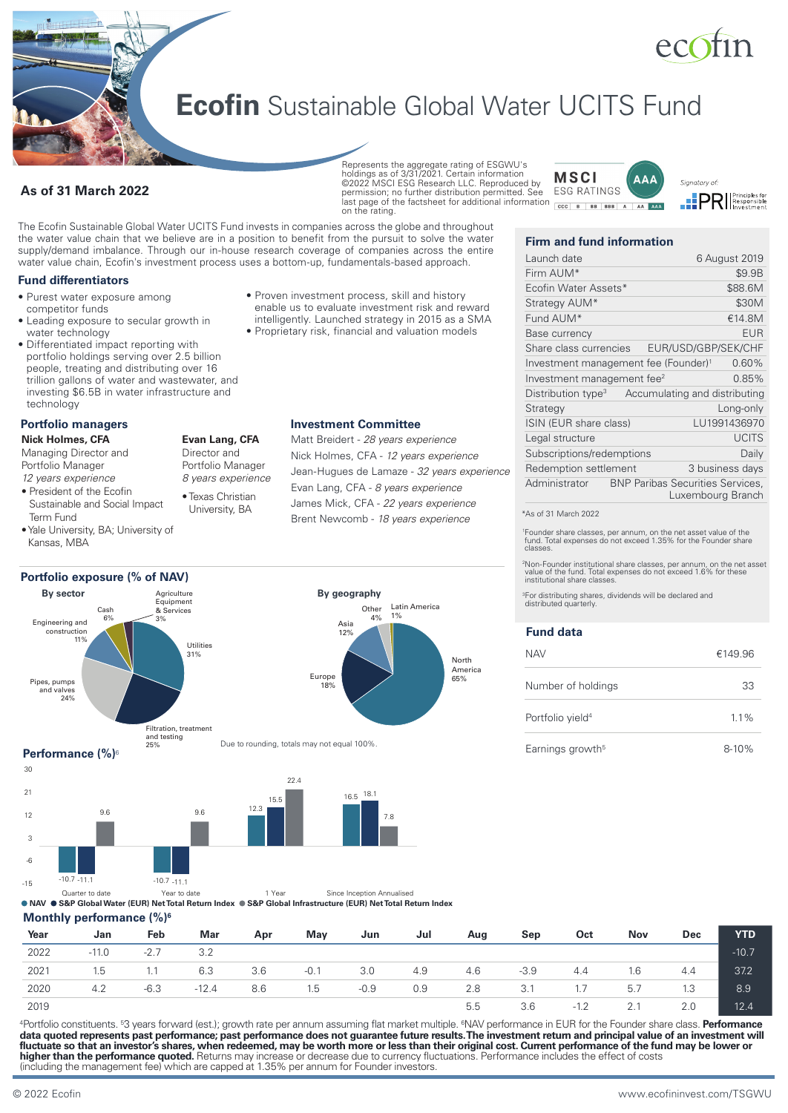# ecotin

Signatory of:

**PRI** Principles for

# **Ecofin** Sustainable Global Water UCITS Fund

# **As of 31 March 2022**

**Represents the aggregate rating of ESGWU's** holdings as of 3/31/2021. Certain information ©2022 MSCI ESG Research LLC. Reproduced by permission; no further distribution permitted. See last page of the factsheet for additional information **cock B | BB** | BB | A | AA | AAA on the rating.

The Ecofin Sustainable Global Water UCITS Fund invests in companies across the globe and throughout the water value chain that we believe are in a position to benefit from the pursuit to solve the water supply/demand imbalance. Through our in-house research coverage of companies across the entire water value chain, Ecofin's investment process uses a bottom-up, fundamentals-based approach.

## **Fund differentiators**

- Purest water exposure among competitor funds
- Leading exposure to secular growth in water technology
- Differentiated impact reporting with portfolio holdings serving over 2.5 billion people, treating and distributing over 16 trillion gallons of water and wastewater, and investing \$6.5B in water infrastructure and technology

# **Portfolio managers**

**Nick Holmes, CFA** Managing Director and

- Portfolio Manager
- *12 years experience*

**By sector**

Engineering and construction 11%

Pipes, pumps and valves 24%

- President of the Ecofin Sustainable and Social Impact Term Fund
- Yale University, BA; University of Kansas, MBA

Cash  $69$ 

- **Evan Lang, CFA** Director and Portfolio Manager *8 years experience*
- Texas Christian University, BA
- 



Due to rounding, totals may not equal 100%.

# **Performance (%)**<sup>6</sup>



Filtration, treatment and testing 25%

Quarter to date Year to date<br> **NAV ● S&P Global Infrastructure (EUR) Net Total Return Index** ● S&P Global Infrastructure (EUR) Net Total Return Index

## **Monthly performance (%)6**

| Year | Jan     | Feb    | Mar     | Apr | Mav    | Jun    | Jul | Aug | Sep    | Oct    | <b>Nov</b> | <b>Dec</b> | <b>YTD</b> |
|------|---------|--------|---------|-----|--------|--------|-----|-----|--------|--------|------------|------------|------------|
| 2022 | $-11.0$ | $-2.7$ | 3.2     |     |        |        |     |     |        |        |            |            | $-10.7$    |
| 2021 | 1.5     | 1.1    | 6.3     | 3.6 | $-0.1$ | 3.0    | 4.9 | 4.6 | $-3.9$ | 4.4    | 1.6        | 4.4        | 37.2       |
| 2020 | 4.2     | $-6.3$ | $-12.4$ | 8.6 | 1.5    | $-0.9$ | 0.9 | 2.8 | 3.1    | 1.7    | 5.7        | 1.3        | 8.9        |
| 2019 |         |        |         |     |        |        |     | 5.5 | 3.6    | $-1.2$ | 2.1        | 2.0        | 12.4       |

<sup>4</sup>Portfolio constituents. <sup>5</sup>3 years forward (est.); growth rate per annum assuming flat market multiple. <sup>6</sup>NAV performance in EUR for the Founder share class. **Performance** data quoted represents past performance; past performance does not guarantee future results. The investment return and principal value of an investment will **fluctuate so that an investor's shares, when redeemed, may be worth more or less than their original cost. Current performance of the fund may be lower or higher than the performance quoted.** Returns may increase or decrease due to currency fluctuations. Performance includes the effect of costs (including the management fee) which are capped at 1.35% per annum for Founder investors.

- Proven investment process, skill and history enable us to evaluate investment risk and reward intelligently. Launched strategy in 2015 as a SMA
- Proprietary risk, financial and valuation models

# **Investment Committee**

Matt Breidert - *28 years experience* Nick Holmes, CFA - *12 years experience* Jean-Hugues de Lamaze - *32 years experience* Evan Lang, CFA - *8 years experience* James Mick, CFA - *22 years experience* Brent Newcomb - *18 years experience*

# **Firm and fund information**

**MSCI** 

**FSG RATINGS** 

| Launch date                                      |                                         | 6 August 2019     |
|--------------------------------------------------|-----------------------------------------|-------------------|
| Firm AUM*                                        |                                         | \$9.9B            |
| Ecofin Water Assets*                             |                                         | \$88.6M           |
| Strategy AUM*                                    |                                         | \$30M             |
| Fund AUM*                                        |                                         | €14.8M            |
| Base currency                                    |                                         | <b>EUR</b>        |
| Share class currencies                           | EUR/USD/GBP/SEK/CHF                     |                   |
| Investment management fee (Founder) <sup>1</sup> |                                         | 0.60%             |
| Investment management fee <sup>2</sup>           |                                         | 0.85%             |
| Distribution type <sup>3</sup>                   | Accumulating and distributing           |                   |
| Strategy                                         |                                         | Long-only         |
| ISIN (EUR share class)                           |                                         | LU1991436970      |
| Legal structure                                  |                                         | <b>UCITS</b>      |
| Subscriptions/redemptions                        |                                         | Daily             |
| Redemption settlement                            |                                         | 3 business days   |
| Administrator                                    | <b>BNP Paribas Securities Services,</b> | Luxembourg Branch |
|                                                  |                                         |                   |

**AAA** 

#### \*As of 31 March 2022

1 Founder share classes, per annum, on the net asset value of the fund. Total expenses do not exceed 1.35% for the Founder share classes.

2 Non-Founder institutional share classes, per annum, on the net asset value of the fund. Total expenses do not exceed 1.6% for these institutional share classes.

3For distributing shares, dividends will be declared and distributed quarterly.

# **Fund data**

North America  $65%$ 

| <b>NAV</b>                   | €149.96   |
|------------------------------|-----------|
| Number of holdings           | 33        |
| Portfolio vield <sup>4</sup> | $1.1\%$   |
| Earnings growth <sup>5</sup> | $8 - 10%$ |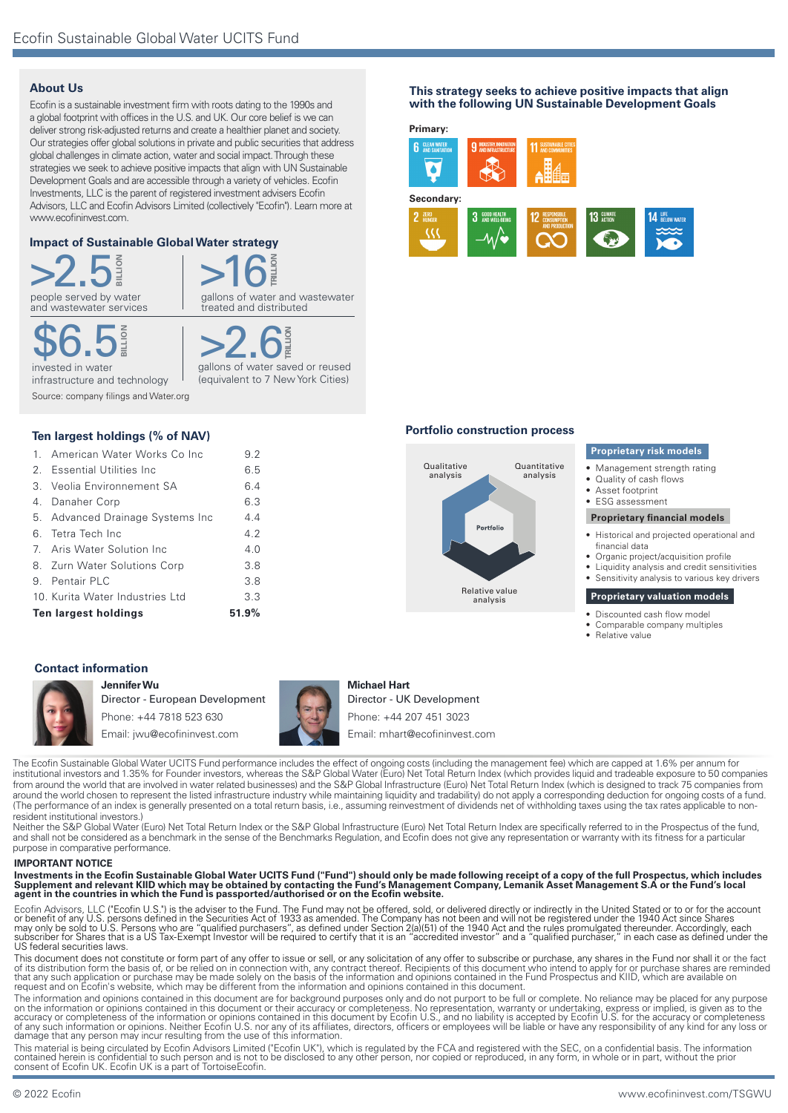# **About Us**

Ecofin is a sustainable investment firm with roots dating to the 1990s and a global footprint with offices in the U.S. and UK. Our core belief is we can deliver strong risk-adjusted returns and create a healthier planet and society. Our strategies offer global solutions in private and public securities that address global challenges in climate action, water and social impact. Through these strategies we seek to achieve positive impacts that align with UN Sustainable Development Goals and are accessible through a variety of vehicles. Ecofin Investments, LLC is the parent of registered investment advisers Ecofin Advisors, LLC and Ecofin Advisors Limited (collectively "Ecofin"). Learn more at www.ecofininvest.com.

# **Impact of Sustainable Global Water strategy**

 $>2.5$ and wastewater services **BILLION** 



**BILLION**

invested in water infrastructure and technology \$6.5 Source: company filings and Water.org >2.6 gallons of water saved or reused (equivalent to 7 New York Cities)

**TRILL** 

# **Ten largest holdings (% of NAV)**

| Ten largest holdings | 51.9%                            |     |
|----------------------|----------------------------------|-----|
|                      | 10. Kurita Water Industries Ltd  | 3.3 |
|                      | 9. Pentair PLC                   | 3.8 |
|                      | 8. Zurn Water Solutions Corp     | 3.8 |
|                      | 7. Aris Water Solution Inc       | 4.0 |
|                      | 6. Tetra Tech Inc                | 4.2 |
|                      | 5. Advanced Drainage Systems Inc | 4.4 |
|                      | 4. Danaher Corp                  | 6.3 |
|                      | 3. Veolia Environnement SA       | 6.4 |
|                      | 2. Essential Utilities Inc       | 6.5 |
|                      | 1. American Water Works Co Inc   | 9.2 |

# **Contact information**



**Jennifer Wu** Director - European Development Phone: +44 7818 523 630 Email: jwu@ecofininvest.com



## **Michael Hart**

Director - UK Development Phone: +44 207 451 3023 Email: mhart@ecofininvest.com

The Ecofin Sustainable Global Water UCITS Fund performance includes the effect of ongoing costs (including the management fee) which are capped at 1.6% per annum for institutional investors and 1.35% for Founder investors, whereas the S&P Global Water (Euro) Net Total Return Index (which provides liquid and tradeable exposure to 50 companies from around the world that are involved in water related businesses) and the S&P Global Infrastructure (Euro) Net Total Return Index (which is designed to track 75 companies from around the world chosen to represent the listed infrastructure industry while maintaining liquidity and tradability) do not apply a corresponding deduction for ongoing costs of a fund. (The performance of an index is generally presented on a total return basis, i.e., assuming reinvestment of dividends net of withholding taxes using the tax rates applicable to nonresident institutional investors.)

Neither the S&P Global Water (Euro) Net Total Return Index or the S&P Global Infrastructure (Euro) Net Total Return Index are specifically referred to in the Prospectus of the fund, and shall not be considered as a benchmark in the sense of the Benchmarks Regulation, and Ecofin does not give any representation or warranty with its fitness for a particular purpose in comparative performance.

#### **IMPORTANT NOTICE**

Investments in the Ecofin Sustainable Global Water UCITS Fund ("Fund") should only be made following receipt of a copy of the full Prospectus, which includes<br>Supplement and relevant KIID which may be obtained by contacting

Ecofin Advisors, LLC ("Ecofin U.S.") is the adviser to the Fund. The Fund may not be offered, sold, or delivered directly or indirectly in the United Stated or to or for the account<br>or benefit of any U.S. persons defined i

This document does not constitute or form part of any offer to issue or sell, or any solicitation of any offer to subscribe or purchase, any shares in the Fund nor shall it or the fact<br>of its distribution form the basis of

The information and opinions contained in this document are for background purposes only and do not purport to be full or complete. No reliance may be placed for any purpose on the information or opinions contained in this document or their accuracy or completeness. No representation, warranty or undertaking, express or implied, is given as to the<br>accuracy or completeness of the information or

This material is being circulated by Ecofin Advisors Limited ("Ecofin UK"), which is regulated by the FCA and registered with the SEC, on a confidential basis. The information<br>contained herein is confidential to such perso consent of Ecofin UK. Ecofin UK is a part of TortoiseEcofin.

#### **This strategy seeks to achieve positive impacts that align with the following UN Sustainable Development Goals**



#### **Portfolio construction process**



#### **Proprietary risk models**

- Management strength rating
- Quality of cash flows
- Asset footprint
- ESG assessment

#### **Proprietary financial models**

- Historical and projected operational and financial data
- Organic project/acquisition profile
	- Liquidity analysis and credit sensitivities • Sensitivity analysis to various key drivers

# **Proprietary valuation models**

- Discounted cash flow model
- Comparable company multiples
- Relative value